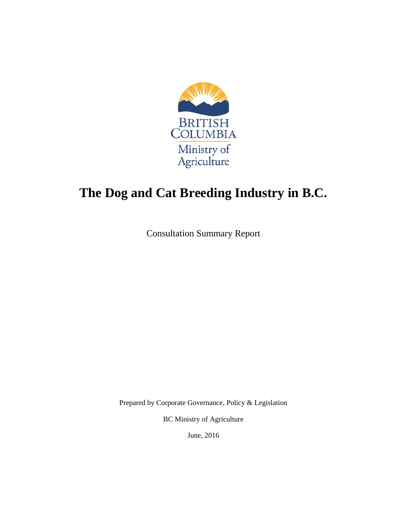

# **The Dog and Cat Breeding Industry in B.C.**

Consultation Summary Report

Prepared by Corporate Governance, Policy & Legislation

BC Ministry of Agriculture

June, 2016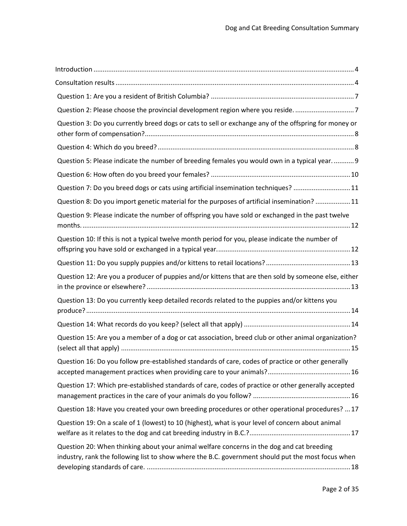| Question 2: Please choose the provincial development region where you reside7                                                                                                                   |
|-------------------------------------------------------------------------------------------------------------------------------------------------------------------------------------------------|
| Question 3: Do you currently breed dogs or cats to sell or exchange any of the offspring for money or                                                                                           |
|                                                                                                                                                                                                 |
| Question 5: Please indicate the number of breeding females you would own in a typical year.  9                                                                                                  |
|                                                                                                                                                                                                 |
| Question 7: Do you breed dogs or cats using artificial insemination techniques? 11                                                                                                              |
| Question 8: Do you import genetic material for the purposes of artificial insemination?  11                                                                                                     |
| Question 9: Please indicate the number of offspring you have sold or exchanged in the past twelve                                                                                               |
| Question 10: If this is not a typical twelve month period for you, please indicate the number of                                                                                                |
|                                                                                                                                                                                                 |
| Question 12: Are you a producer of puppies and/or kittens that are then sold by someone else, either                                                                                            |
| Question 13: Do you currently keep detailed records related to the puppies and/or kittens you                                                                                                   |
|                                                                                                                                                                                                 |
| Question 15: Are you a member of a dog or cat association, breed club or other animal organization?                                                                                             |
| Question 16: Do you follow pre-established standards of care, codes of practice or other generally                                                                                              |
| Question 17: Which pre-established standards of care, codes of practice or other generally accepted                                                                                             |
| Question 18: Have you created your own breeding procedures or other operational procedures?  17                                                                                                 |
| Question 19: On a scale of 1 (lowest) to 10 (highest), what is your level of concern about animal                                                                                               |
| Question 20: When thinking about your animal welfare concerns in the dog and cat breeding<br>industry, rank the following list to show where the B.C. government should put the most focus when |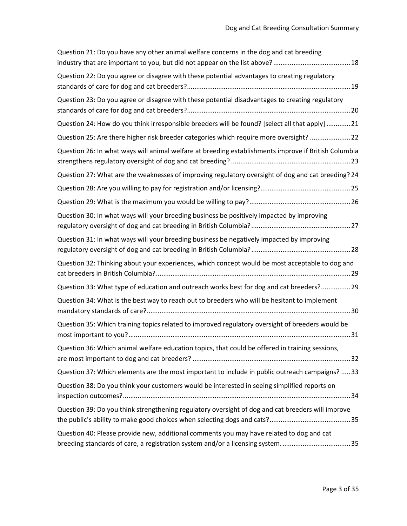| Question 21: Do you have any other animal welfare concerns in the dog and cat breeding                                                                                    |
|---------------------------------------------------------------------------------------------------------------------------------------------------------------------------|
| Question 22: Do you agree or disagree with these potential advantages to creating regulatory                                                                              |
| Question 23: Do you agree or disagree with these potential disadvantages to creating regulatory                                                                           |
| Question 24: How do you think irresponsible breeders will be found? [select all that apply]  21                                                                           |
| Question 25: Are there higher risk breeder categories which require more oversight?  22                                                                                   |
| Question 26: In what ways will animal welfare at breeding establishments improve if British Columbia                                                                      |
| Question 27: What are the weaknesses of improving regulatory oversight of dog and cat breeding? 24                                                                        |
|                                                                                                                                                                           |
|                                                                                                                                                                           |
| Question 30: In what ways will your breeding business be positively impacted by improving                                                                                 |
| Question 31: In what ways will your breeding business be negatively impacted by improving                                                                                 |
| Question 32: Thinking about your experiences, which concept would be most acceptable to dog and                                                                           |
| Question 33: What type of education and outreach works best for dog and cat breeders? 29                                                                                  |
| Question 34: What is the best way to reach out to breeders who will be hesitant to implement                                                                              |
| Question 35: Which training topics related to improved regulatory oversight of breeders would be                                                                          |
| Question 36: Which animal welfare education topics, that could be offered in training sessions,                                                                           |
| Question 37: Which elements are the most important to include in public outreach campaigns?  33                                                                           |
| Question 38: Do you think your customers would be interested in seeing simplified reports on                                                                              |
| Question 39: Do you think strengthening regulatory oversight of dog and cat breeders will improve                                                                         |
| Question 40: Please provide new, additional comments you may have related to dog and cat<br>breeding standards of care, a registration system and/or a licensing system35 |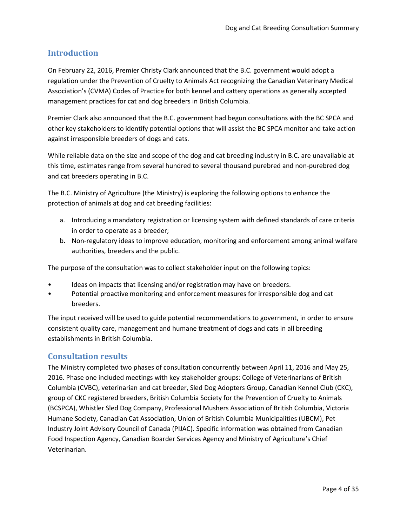## <span id="page-3-0"></span>**Introduction**

On February 22, 2016, Premier Christy Clark announced that the B.C. government would adopt a regulation under the Prevention of Cruelty to Animals Act recognizing the Canadian Veterinary Medical Association's (CVMA) Codes of Practice for both kennel and cattery operations as generally accepted management practices for cat and dog breeders in British Columbia.

Premier Clark also announced that the B.C. government had begun consultations with the BC SPCA and other key stakeholders to identify potential options that will assist the BC SPCA monitor and take action against irresponsible breeders of dogs and cats.

While reliable data on the size and scope of the dog and cat breeding industry in B.C. are unavailable at this time, estimates range from several hundred to several thousand purebred and non-purebred dog and cat breeders operating in B.C.

The B.C. Ministry of Agriculture (the Ministry) is exploring the following options to enhance the protection of animals at dog and cat breeding facilities:

- a. Introducing a mandatory registration or licensing system with defined standards of care criteria in order to operate as a breeder;
- b. Non-regulatory ideas to improve education, monitoring and enforcement among animal welfare authorities, breeders and the public.

The purpose of the consultation was to collect stakeholder input on the following topics:

- Ideas on impacts that licensing and/or registration may have on breeders.
- Potential proactive monitoring and enforcement measures for irresponsible dog and cat breeders.

The input received will be used to guide potential recommendations to government, in order to ensure consistent quality care, management and humane treatment of dogs and cats in all breeding establishments in British Columbia.

## <span id="page-3-1"></span>**Consultation results**

The Ministry completed two phases of consultation concurrently between April 11, 2016 and May 25, 2016. Phase one included meetings with key stakeholder groups: College of Veterinarians of British Columbia (CVBC), veterinarian and cat breeder, Sled Dog Adopters Group, Canadian Kennel Club (CKC), group of CKC registered breeders, British Columbia Society for the Prevention of Cruelty to Animals (BCSPCA), Whistler Sled Dog Company, Professional Mushers Association of British Columbia, Victoria Humane Society, Canadian Cat Association, Union of British Columbia Municipalities (UBCM), Pet Industry Joint Advisory Council of Canada (PIJAC). Specific information was obtained from Canadian Food Inspection Agency, Canadian Boarder Services Agency and Ministry of Agriculture's Chief Veterinarian.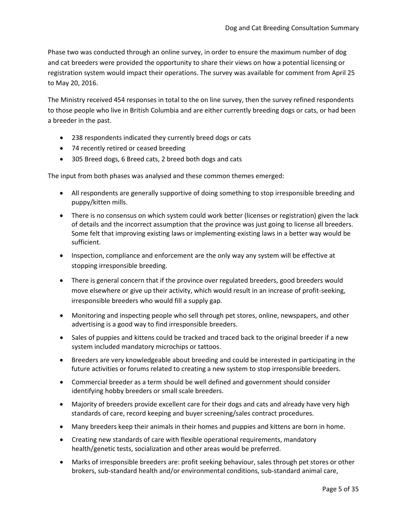Phase two was conducted through an online survey, in order to ensure the maximum number of dog and cat breeders were provided the opportunity to share their views on how a potential licensing or registration system would impact their operations. The survey was available for comment from April 25 to May 20, 2016.

The Ministry received 454 responses in total to the on line survey, then the survey refined respondents to those people who live in British Columbia and are either currently breeding dogs or cats, or had been a breeder in the past.

- 238 respondents indicated they currently breed dogs or cats
- 74 recently retired or ceased breeding
- 305 Breed dogs, 6 Breed cats, 2 breed both dogs and cats

The input from both phases was analysed and these common themes emerged:

- All respondents are generally supportive of doing something to stop irresponsible breeding and puppy/kitten mills.
- There is no consensus on which system could work better (licenses or registration) given the lack of details and the incorrect assumption that the province was just going to license all breeders. Some felt that improving existing laws or implementing existing laws in a better way would be sufficient.
- Inspection, compliance and enforcement are the only way any system will be effective at stopping irresponsible breeding.
- There is general concern that if the province over regulated breeders, good breeders would move elsewhere or give up their activity, which would result in an increase of profit-seeking, irresponsible breeders who would fill a supply gap.
- Monitoring and inspecting people who sell through pet stores, online, newspapers, and other advertising is a good way to find irresponsible breeders.
- Sales of puppies and kittens could be tracked and traced back to the original breeder if a new system included mandatory microchips or tattoos.
- Breeders are very knowledgeable about breeding and could be interested in participating in the future activities or forums related to creating a new system to stop irresponsible breeders.
- Commercial breeder as a term should be well defined and government should consider identifying hobby breeders or small scale breeders.
- Majority of breeders provide excellent care for their dogs and cats and already have very high standards of care, record keeping and buyer screening/sales contract procedures.
- Many breeders keep their animals in their homes and puppies and kittens are born in home.
- Creating new standards of care with flexible operational requirements, mandatory health/genetic tests, socialization and other areas would be preferred.
- Marks of irresponsible breeders are: profit seeking behaviour, sales through pet stores or other brokers, sub-standard health and/or environmental conditions, sub-standard animal care,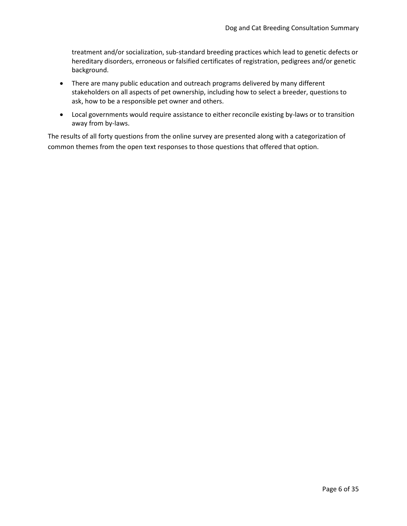treatment and/or socialization, sub-standard breeding practices which lead to genetic defects or hereditary disorders, erroneous or falsified certificates of registration, pedigrees and/or genetic background.

- There are many public education and outreach programs delivered by many different stakeholders on all aspects of pet ownership, including how to select a breeder, questions to ask, how to be a responsible pet owner and others.
- Local governments would require assistance to either reconcile existing by-laws or to transition away from by-laws.

The results of all forty questions from the online survey are presented along with a categorization of common themes from the open text responses to those questions that offered that option.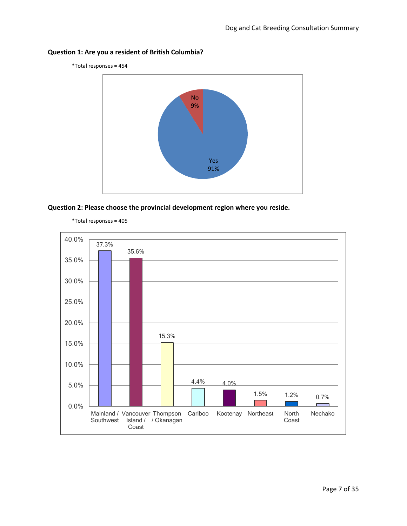<span id="page-6-0"></span>

\*Total responses = 454



<span id="page-6-1"></span>



\*Total responses = 405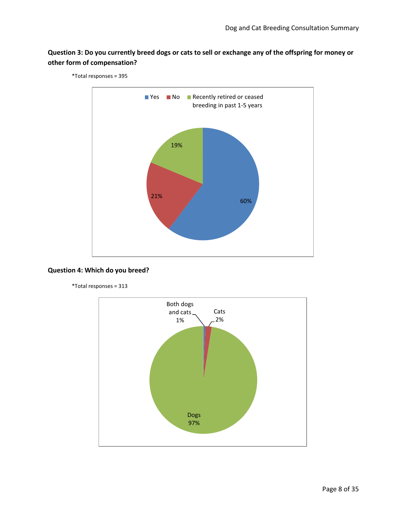## <span id="page-7-0"></span>**Question 3: Do you currently breed dogs or cats to sell or exchange any of the offspring for money or other form of compensation?**



\*Total responses = 395

#### <span id="page-7-1"></span>**Question 4: Which do you breed?**

\*Total responses = 313

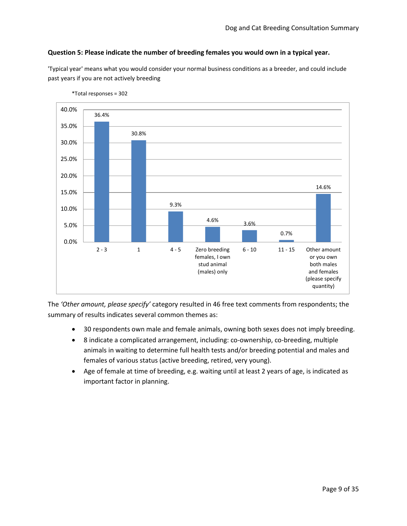#### <span id="page-8-0"></span>**Question 5: Please indicate the number of breeding females you would own in a typical year.**

'Typical year' means what you would consider your normal business conditions as a breeder, and could include past years if you are not actively breeding



\*Total responses = 302

The *'Other amount, please specify'* category resulted in 46 free text comments from respondents; the summary of results indicates several common themes as:

- 30 respondents own male and female animals, owning both sexes does not imply breeding.
- 8 indicate a complicated arrangement, including: co-ownership, co-breeding, multiple animals in waiting to determine full health tests and/or breeding potential and males and females of various status (active breeding, retired, very young).
- Age of female at time of breeding, e.g. waiting until at least 2 years of age, is indicated as important factor in planning.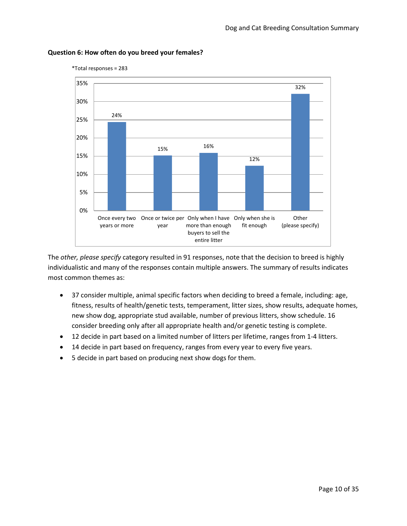

#### <span id="page-9-0"></span>**Question 6: How often do you breed your females?**

\*Total responses = 283

The *other, please specify* category resulted in 91 responses, note that the decision to breed is highly individualistic and many of the responses contain multiple answers. The summary of results indicates most common themes as:

- 37 consider multiple, animal specific factors when deciding to breed a female, including: age, fitness, results of health/genetic tests, temperament, litter sizes, show results, adequate homes, new show dog, appropriate stud available, number of previous litters, show schedule. 16 consider breeding only after all appropriate health and/or genetic testing is complete.
- 12 decide in part based on a limited number of litters per lifetime, ranges from 1-4 litters.
- 14 decide in part based on frequency, ranges from every year to every five years.
- 5 decide in part based on producing next show dogs for them.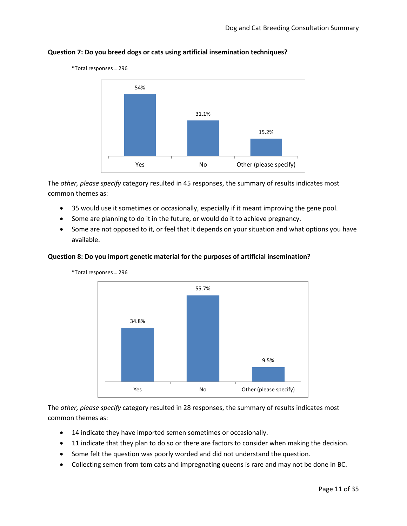

#### <span id="page-10-0"></span>**Question 7: Do you breed dogs or cats using artificial insemination techniques?**

The *other, please specify* category resulted in 45 responses, the summary of results indicates most common themes as:

- 35 would use it sometimes or occasionally, especially if it meant improving the gene pool.
- Some are planning to do it in the future, or would do it to achieve pregnancy.
- Some are not opposed to it, or feel that it depends on your situation and what options you have available.

#### <span id="page-10-1"></span>**Question 8: Do you import genetic material for the purposes of artificial insemination?**



\*Total responses = 296

\*Total responses = 296

The *other, please specify* category resulted in 28 responses, the summary of results indicates most common themes as:

- 14 indicate they have imported semen sometimes or occasionally.
- 11 indicate that they plan to do so or there are factors to consider when making the decision.
- Some felt the question was poorly worded and did not understand the question.
- Collecting semen from tom cats and impregnating queens is rare and may not be done in BC.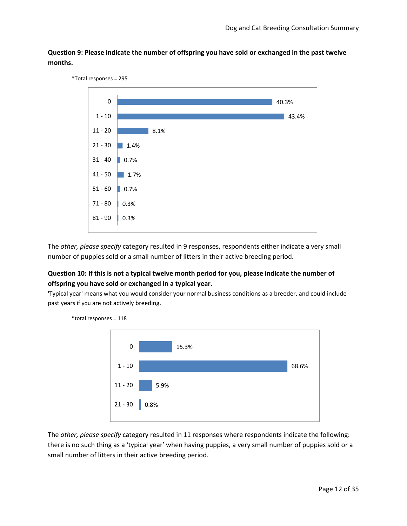<span id="page-11-0"></span>**Question 9: Please indicate the number of offspring you have sold or exchanged in the past twelve months.**



The *other, please specify* category resulted in 9 responses, respondents either indicate a very small number of puppies sold or a small number of litters in their active breeding period.

#### <span id="page-11-1"></span>**Question 10: If this is not a typical twelve month period for you, please indicate the number of offspring you have sold or exchanged in a typical year.**

\*total responses = 118

'Typical year' means what you would consider your normal business conditions as a breeder, and could include past years if you are not actively breeding.



The *other, please specify* category resulted in 11 responses where respondents indicate the following: there is no such thing as a 'typical year' when having puppies, a very small number of puppies sold or a small number of litters in their active breeding period.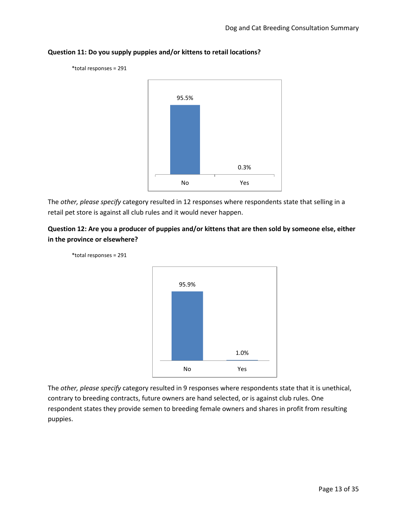

## <span id="page-12-0"></span>**Question 11: Do you supply puppies and/or kittens to retail locations?**

The *other, please specify* category resulted in 12 responses where respondents state that selling in a retail pet store is against all club rules and it would never happen.

#### <span id="page-12-1"></span>**Question 12: Are you a producer of puppies and/or kittens that are then sold by someone else, either in the province or elsewhere?**





The *other, please specify* category resulted in 9 responses where respondents state that it is unethical, contrary to breeding contracts, future owners are hand selected, or is against club rules. One respondent states they provide semen to breeding female owners and shares in profit from resulting puppies.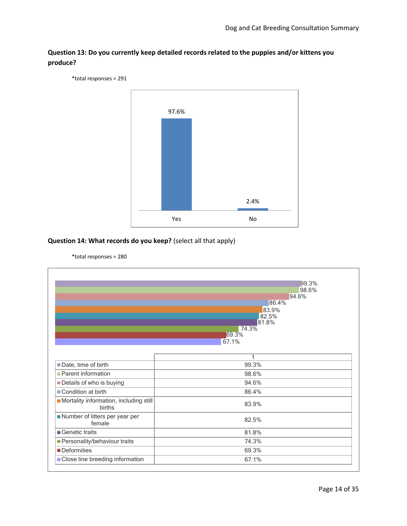

<span id="page-13-0"></span>**Question 13: Do you currently keep detailed records related to the puppies and/or kittens you produce?**

#### <span id="page-13-1"></span>**Question 14: What records do you keep?** (select all that apply)



\*total responses = 280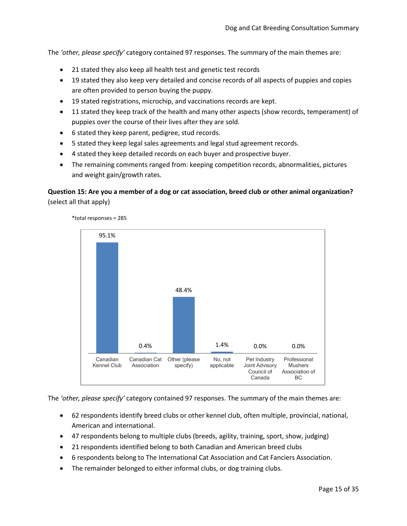The *'other, please specify'* category contained 97 responses. The summary of the main themes are:

- 21 stated they also keep all health test and genetic test records
- 19 stated they also keep very detailed and concise records of all aspects of puppies and copies are often provided to person buying the puppy.
- 19 stated registrations, microchip, and vaccinations records are kept.
- 11 stated they keep track of the health and many other aspects (show records, temperament) of puppies over the course of their lives after they are sold.
- 6 stated they keep parent, pedigree, stud records.
- 5 stated they keep legal sales agreements and legal stud agreement records.
- 4 stated they keep detailed records on each buyer and prospective buyer.
- The remaining comments ranged from: keeping competition records, abnormalities, pictures and weight gain/growth rates.

#### <span id="page-14-0"></span>**Question 15: Are you a member of a dog or cat association, breed club or other animal organization?**  (select all that apply)



\*total responses = 285

The *'other, please specify'* category contained 97 responses. The summary of the main themes are:

- 62 respondents identify breed clubs or other kennel club, often multiple, provincial, national, American and international.
- 47 respondents belong to multiple clubs (breeds, agility, training, sport, show, judging)
- 21 respondents identified belong to both Canadian and American breed clubs
- 6 respondents belong to The International Cat Association and Cat Fanciers Association.
- The remainder belonged to either informal clubs, or dog training clubs.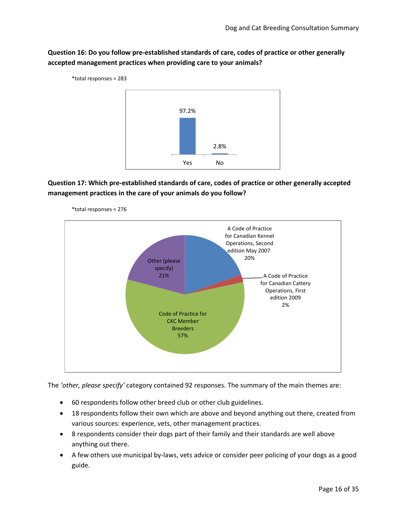<span id="page-15-0"></span>**Question 16: Do you follow pre-established standards of care, codes of practice or other generally accepted management practices when providing care to your animals?**



## <span id="page-15-1"></span>**Question 17: Which pre-established standards of care, codes of practice or other generally accepted management practices in the care of your animals do you follow?**



\*total responses = 276

The *'other, please specify'* category contained 92 responses. The summary of the main themes are:

- 60 respondents follow other breed club or other club guidelines.
- 18 respondents follow their own which are above and beyond anything out there, created from various sources: experience, vets, other management practices.
- 8 respondents consider their dogs part of their family and their standards are well above anything out there.
- A few others use municipal by-laws, vets advice or consider peer policing of your dogs as a good guide.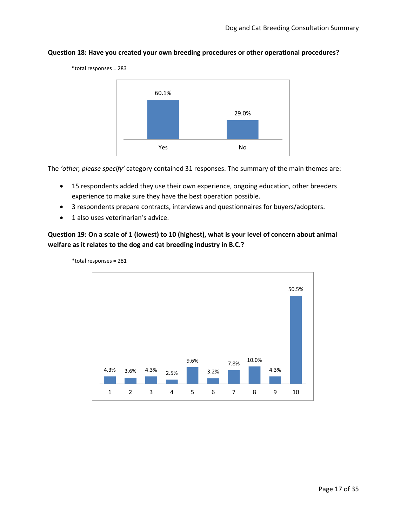

#### <span id="page-16-0"></span>**Question 18: Have you created your own breeding procedures or other operational procedures?**

The *'other, please specify'* category contained 31 responses. The summary of the main themes are:

- 15 respondents added they use their own experience, ongoing education, other breeders experience to make sure they have the best operation possible.
- 3 respondents prepare contracts, interviews and questionnaires for buyers/adopters.
- 1 also uses veterinarian's advice.

#### <span id="page-16-1"></span>**Question 19: On a scale of 1 (lowest) to 10 (highest), what is your level of concern about animal welfare as it relates to the dog and cat breeding industry in B.C.?**



\*total responses = 281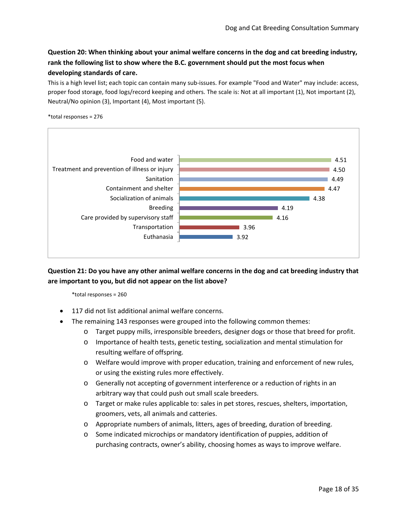## <span id="page-17-0"></span>**Question 20: When thinking about your animal welfare concerns in the dog and cat breeding industry, rank the following list to show where the B.C. government should put the most focus when developing standards of care.**

This is a high level list; each topic can contain many sub-issues. For example "Food and Water" may include: access, proper food storage, food logs/record keeping and others. The scale is: Not at all important (1), Not important (2), Neutral/No opinion (3), Important (4), Most important (5).





<span id="page-17-1"></span>**Question 21: Do you have any other animal welfare concerns in the dog and cat breeding industry that are important to you, but did not appear on the list above?**

\*total responses = 260

- 117 did not list additional animal welfare concerns.
- The remaining 143 responses were grouped into the following common themes:
	- o Target puppy mills, irresponsible breeders, designer dogs or those that breed for profit.
	- o Importance of health tests, genetic testing, socialization and mental stimulation for resulting welfare of offspring.
	- o Welfare would improve with proper education, training and enforcement of new rules, or using the existing rules more effectively.
	- o Generally not accepting of government interference or a reduction of rights in an arbitrary way that could push out small scale breeders.
	- o Target or make rules applicable to: sales in pet stores, rescues, shelters, importation, groomers, vets, all animals and catteries.
	- o Appropriate numbers of animals, litters, ages of breeding, duration of breeding.
	- o Some indicated microchips or mandatory identification of puppies, addition of purchasing contracts, owner's ability, choosing homes as ways to improve welfare.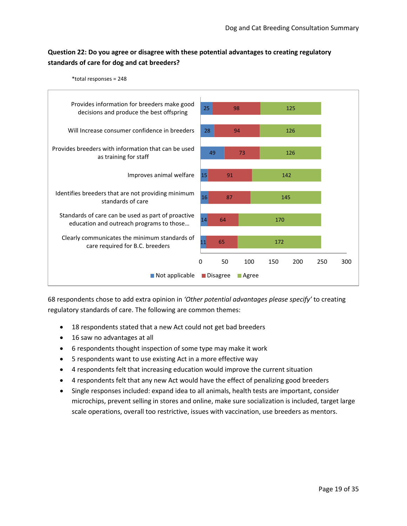## <span id="page-18-0"></span>**Question 22: Do you agree or disagree with these potential advantages to creating regulatory standards of care for dog and cat breeders?**



68 respondents chose to add extra opinion in *'Other potential advantages please specify'* to creating regulatory standards of care. The following are common themes:

- 18 respondents stated that a new Act could not get bad breeders
- 16 saw no advantages at all
- 6 respondents thought inspection of some type may make it work
- 5 respondents want to use existing Act in a more effective way
- 4 respondents felt that increasing education would improve the current situation
- 4 respondents felt that any new Act would have the effect of penalizing good breeders
- Single responses included: expand idea to all animals, health tests are important, consider microchips, prevent selling in stores and online, make sure socialization is included, target large scale operations, overall too restrictive, issues with vaccination, use breeders as mentors.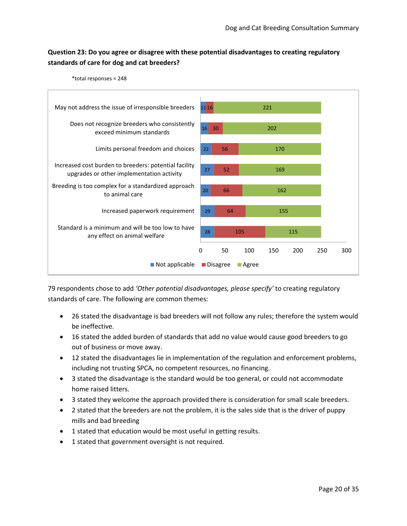## <span id="page-19-0"></span>**Question 23: Do you agree or disagree with these potential disadvantages to creating regulatory standards of care for dog and cat breeders?**





79 respondents chose to add *'Other potential disadvantages, please specify'* to creating regulatory standards of care. The following are common themes:

- 26 stated the disadvantage is bad breeders will not follow any rules; therefore the system would be ineffective.
- 16 stated the added burden of standards that add no value would cause good breeders to go out of business or move away.
- 12 stated the disadvantages lie in implementation of the regulation and enforcement problems, including not trusting SPCA, no competent resources, no financing.
- 3 stated the disadvantage is the standard would be too general, or could not accommodate home raised litters.
- 3 stated they welcome the approach provided there is consideration for small scale breeders.
- 2 stated that the breeders are not the problem, it is the sales side that is the driver of puppy mills and bad breeding
- 1 stated that education would be most useful in getting results.
- 1 stated that government oversight is not required.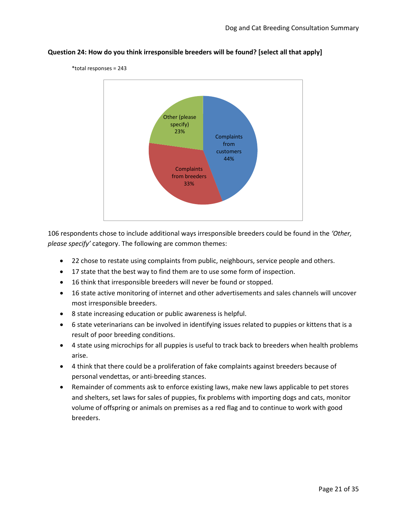

#### <span id="page-20-0"></span>**Question 24: How do you think irresponsible breeders will be found? [select all that apply]**

106 respondents chose to include additional ways irresponsible breeders could be found in the *'Other, please specify'* category. The following are common themes:

- 22 chose to restate using complaints from public, neighbours, service people and others.
- 17 state that the best way to find them are to use some form of inspection.
- 16 think that irresponsible breeders will never be found or stopped.
- 16 state active monitoring of internet and other advertisements and sales channels will uncover most irresponsible breeders.
- 8 state increasing education or public awareness is helpful.
- 6 state veterinarians can be involved in identifying issues related to puppies or kittens that is a result of poor breeding conditions.
- 4 state using microchips for all puppies is useful to track back to breeders when health problems arise.
- 4 think that there could be a proliferation of fake complaints against breeders because of personal vendettas, or anti-breeding stances.
- Remainder of comments ask to enforce existing laws, make new laws applicable to pet stores and shelters, set laws for sales of puppies, fix problems with importing dogs and cats, monitor volume of offspring or animals on premises as a red flag and to continue to work with good breeders.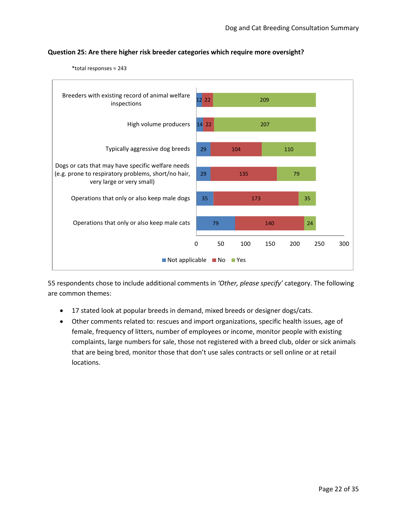

## <span id="page-21-0"></span>**Question 25: Are there higher risk breeder categories which require more oversight?**

\*total responses = 243

- 17 stated look at popular breeds in demand, mixed breeds or designer dogs/cats.
- Other comments related to: rescues and import organizations, specific health issues, age of female, frequency of litters, number of employees or income, monitor people with existing complaints, large numbers for sale, those not registered with a breed club, older or sick animals that are being bred, monitor those that don't use sales contracts or sell online or at retail locations.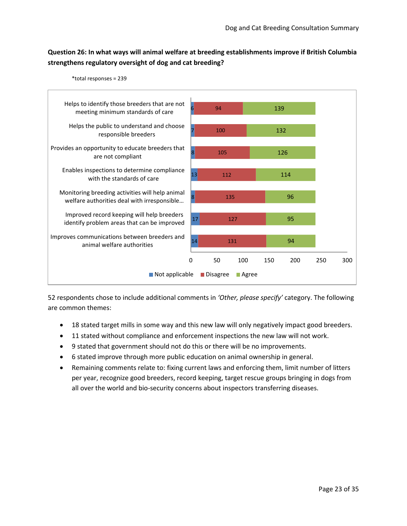## <span id="page-22-0"></span>**Question 26: In what ways will animal welfare at breeding establishments improve if British Columbia strengthens regulatory oversight of dog and cat breeding?**





- 18 stated target mills in some way and this new law will only negatively impact good breeders.
- 11 stated without compliance and enforcement inspections the new law will not work.
- 9 stated that government should not do this or there will be no improvements.
- 6 stated improve through more public education on animal ownership in general.
- Remaining comments relate to: fixing current laws and enforcing them, limit number of litters per year, recognize good breeders, record keeping, target rescue groups bringing in dogs from all over the world and bio-security concerns about inspectors transferring diseases.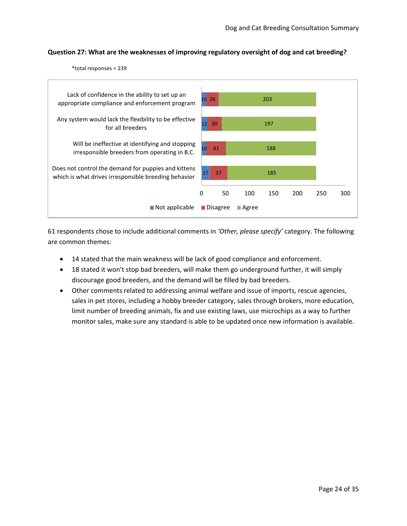#### <span id="page-23-0"></span>**Question 27: What are the weaknesses of improving regulatory oversight of dog and cat breeding?**

\*total responses = 239



- 14 stated that the main weakness will be lack of good compliance and enforcement.
- 18 stated it won't stop bad breeders, will make them go underground further, it will simply discourage good breeders, and the demand will be filled by bad breeders.
- Other comments related to addressing animal welfare and issue of imports, rescue agencies, sales in pet stores, including a hobby breeder category, sales through brokers, more education, limit number of breeding animals, fix and use existing laws, use microchips as a way to further monitor sales, make sure any standard is able to be updated once new information is available.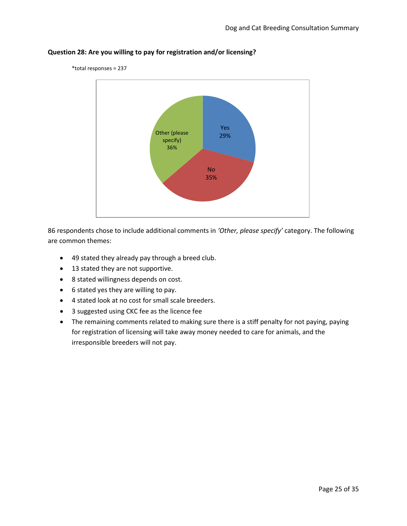

#### <span id="page-24-0"></span>**Question 28: Are you willing to pay for registration and/or licensing?**

\*total responses = 237

- 49 stated they already pay through a breed club.
- 13 stated they are not supportive.
- 8 stated willingness depends on cost.
- 6 stated yes they are willing to pay.
- 4 stated look at no cost for small scale breeders.
- 3 suggested using CKC fee as the licence fee
- The remaining comments related to making sure there is a stiff penalty for not paying, paying for registration of licensing will take away money needed to care for animals, and the irresponsible breeders will not pay.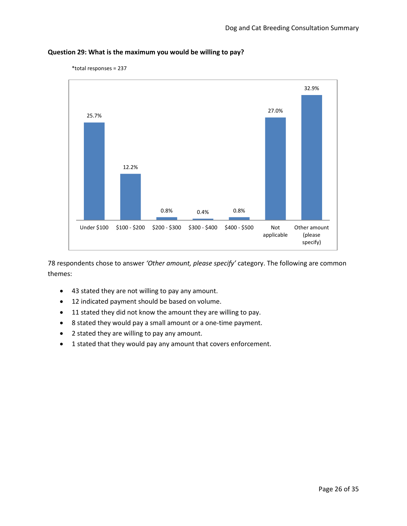

### <span id="page-25-0"></span>**Question 29: What is the maximum you would be willing to pay?**

\*total responses = 237

78 respondents chose to answer *'Other amount, please specify'* category. The following are common themes:

- 43 stated they are not willing to pay any amount.
- 12 indicated payment should be based on volume.
- 11 stated they did not know the amount they are willing to pay.
- 8 stated they would pay a small amount or a one-time payment.
- 2 stated they are willing to pay any amount.
- 1 stated that they would pay any amount that covers enforcement.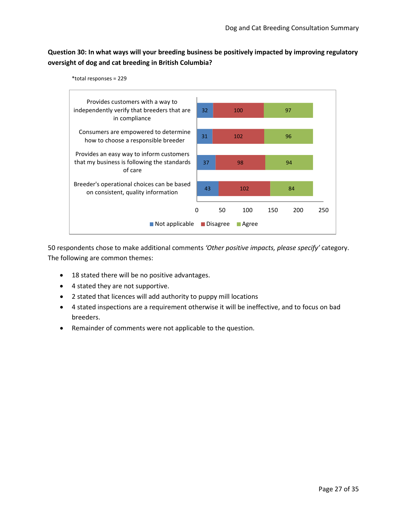## <span id="page-26-0"></span>**Question 30: In what ways will your breeding business be positively impacted by improving regulatory oversight of dog and cat breeding in British Columbia?**



50 respondents chose to make additional comments *'Other positive impacts, please specify'* category. The following are common themes:

- 18 stated there will be no positive advantages.
- 4 stated they are not supportive.
- 2 stated that licences will add authority to puppy mill locations
- 4 stated inspections are a requirement otherwise it will be ineffective, and to focus on bad breeders.
- Remainder of comments were not applicable to the question.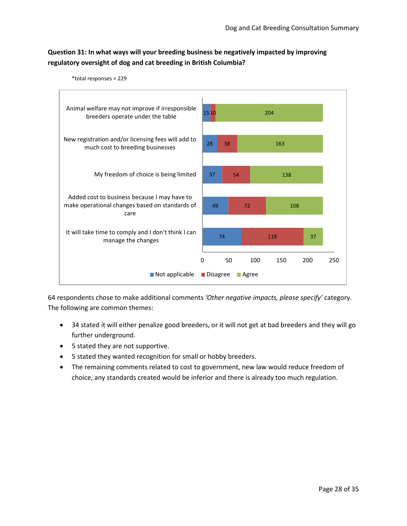### <span id="page-27-0"></span>**Question 31: In what ways will your breeding business be negatively impacted by improving regulatory oversight of dog and cat breeding in British Columbia?**



64 respondents chose to make additional comments *'Other negative impacts, please specify'* category. The following are common themes:

- 34 stated it will either penalize good breeders, or it will not get at bad breeders and they will go further underground.
- 5 stated they are not supportive.
- 5 stated they wanted recognition for small or hobby breeders.
- The remaining comments related to cost to government, new law would reduce freedom of choice, any standards created would be inferior and there is already too much regulation.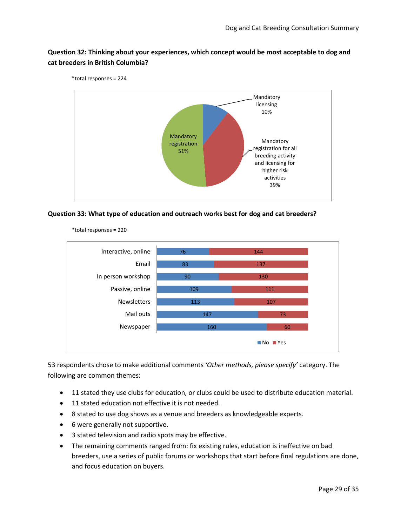#### <span id="page-28-0"></span>**Question 32: Thinking about your experiences, which concept would be most acceptable to dog and cat breeders in British Columbia?**



<span id="page-28-1"></span>



\*total responses = 220

- 11 stated they use clubs for education, or clubs could be used to distribute education material.
- 11 stated education not effective it is not needed.
- 8 stated to use dog shows as a venue and breeders as knowledgeable experts.
- 6 were generally not supportive.
- 3 stated television and radio spots may be effective.
- The remaining comments ranged from: fix existing rules, education is ineffective on bad breeders, use a series of public forums or workshops that start before final regulations are done, and focus education on buyers.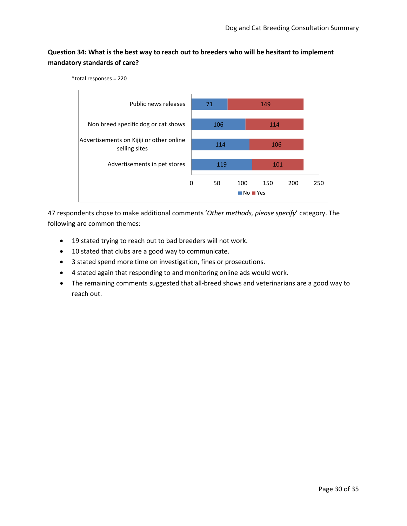## <span id="page-29-0"></span>**Question 34: What is the best way to reach out to breeders who will be hesitant to implement mandatory standards of care?**

\*total responses = 220



- 19 stated trying to reach out to bad breeders will not work.
- 10 stated that clubs are a good way to communicate.
- 3 stated spend more time on investigation, fines or prosecutions.
- 4 stated again that responding to and monitoring online ads would work.
- The remaining comments suggested that all-breed shows and veterinarians are a good way to reach out.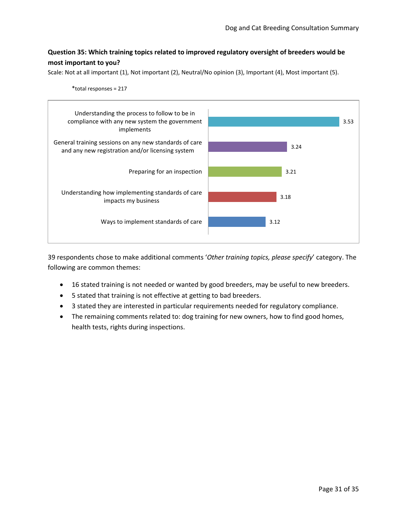#### <span id="page-30-0"></span>**Question 35: Which training topics related to improved regulatory oversight of breeders would be most important to you?**

Scale: Not at all important (1), Not important (2), Neutral/No opinion (3), Important (4), Most important (5).

\*total responses = 217



39 respondents chose to make additional comments '*Other training topics, please specify*' category. The following are common themes:

- 16 stated training is not needed or wanted by good breeders, may be useful to new breeders.
- 5 stated that training is not effective at getting to bad breeders.
- 3 stated they are interested in particular requirements needed for regulatory compliance.
- The remaining comments related to: dog training for new owners, how to find good homes, health tests, rights during inspections.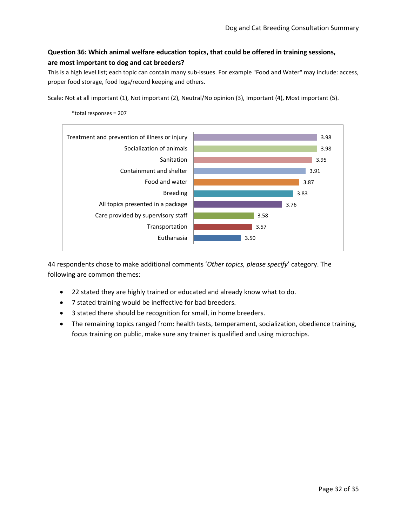## <span id="page-31-0"></span>**Question 36: Which animal welfare education topics, that could be offered in training sessions, are most important to dog and cat breeders?**

This is a high level list; each topic can contain many sub-issues. For example "Food and Water" may include: access, proper food storage, food logs/record keeping and others.

Scale: Not at all important (1), Not important (2), Neutral/No opinion (3), Important (4), Most important (5).



\*total responses = 207

- 22 stated they are highly trained or educated and already know what to do.
- 7 stated training would be ineffective for bad breeders.
- 3 stated there should be recognition for small, in home breeders.
- The remaining topics ranged from: health tests, temperament, socialization, obedience training, focus training on public, make sure any trainer is qualified and using microchips.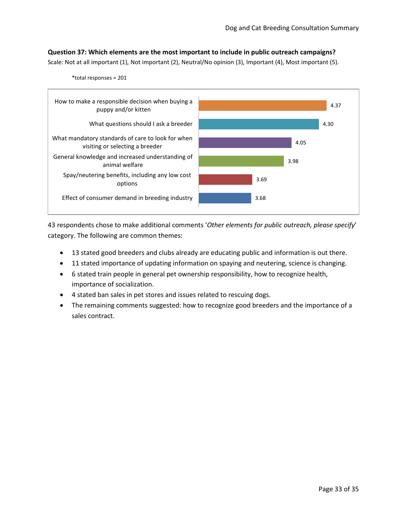<span id="page-32-0"></span>**Question 37: Which elements are the most important to include in public outreach campaigns?**

Scale: Not at all important (1), Not important (2), Neutral/No opinion (3), Important (4), Most important (5).



43 respondents chose to make additional comments '*Other elements for public outreach, please specify*' category. The following are common themes:

- 13 stated good breeders and clubs already are educating public and information is out there.
- 11 stated importance of updating information on spaying and neutering, science is changing.
- 6 stated train people in general pet ownership responsibility, how to recognize health, importance of socialization.
- 4 stated ban sales in pet stores and issues related to rescuing dogs.
- The remaining comments suggested: how to recognize good breeders and the importance of a sales contract.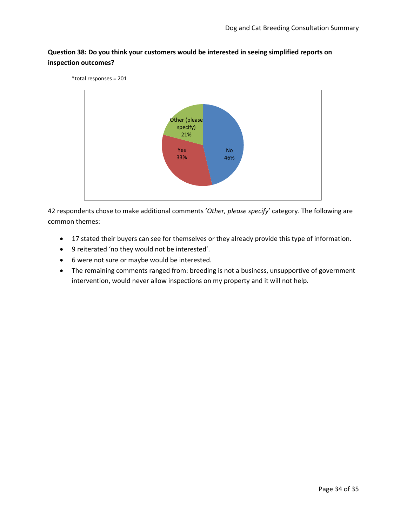### <span id="page-33-0"></span>**Question 38: Do you think your customers would be interested in seeing simplified reports on inspection outcomes?**



- 17 stated their buyers can see for themselves or they already provide this type of information.
- 9 reiterated 'no they would not be interested'.
- 6 were not sure or maybe would be interested.
- The remaining comments ranged from: breeding is not a business, unsupportive of government intervention, would never allow inspections on my property and it will not help.